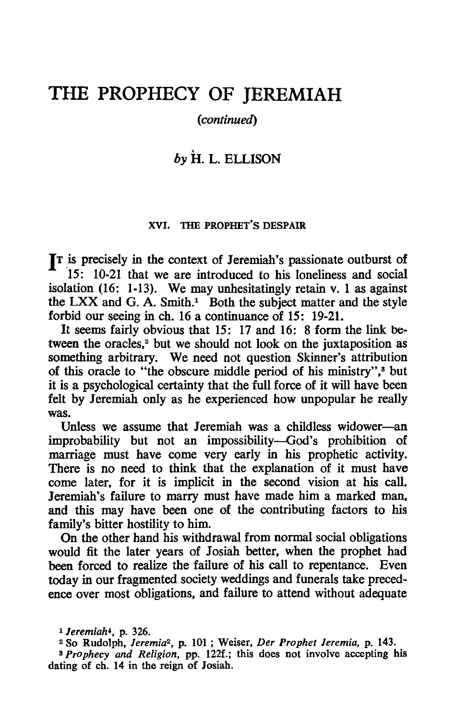# THE PROPHECY OF **JEREMIAH**

### (continued)

# by H. L. ELLISON

#### XVI. THE PROPHET'S DESPAIR

**IT** is precisely in the context of Jeremiah's passionate outburst of 15: 10-21 that we are introduced to his loneliness and social isolation (16: 1-13). We may unhesitatingly retain v. 1 as against the LXX and G. A. Smith.<sup>1</sup> Both the subject matter and the style forbid our seeing in ch. 16 a continuance of 15: 19-21.

It seems fairly obvious that 15: 17 and 16: 8 form the link between the oracles,<sup>2</sup> but we should not look on the juxtaposition as something arbitrary. We need not question Skinner's attribution of this oracle to "the obscure middle period of his ministry",<sup>3</sup> but it is a psychological certainty that the full force of it will have been felt by Jeremiah only as he experienced how unpopular he really was.

Unless we assume that Jeremiah was a childless widower-an improbability but not an impossibility-God's prohibition of marriage must have come very early in his prophetic activity. There is no need to think that the explanation of it must have come later. for it is implicit in the second vision at his call. Jeremiah's failure to marry must have made him a marked man, and this may have been one of the contributing factors to his family's bitter hostility to him.

On the other hand his withdrawal from normal social obligations would fit the later years of Josiah better, when the prophet had been forced to realize the failure of his call to repentance. Even today in our fragmented society weddings and funerals take precedence over most obligations. and failure to attend without adequate

<sup>1</sup>*Jeremiah.,* p. 326.

<sup>2</sup> So Rudolph, *Jeremia2 ,* p. 101 ; Weiser. *Der Prophet /eremia,* p. 143. <sup>3</sup>*Prophecy and Religion,* pp. 122f.; this does not involve accepting his dating of ch. 14 in the reign of 10siah.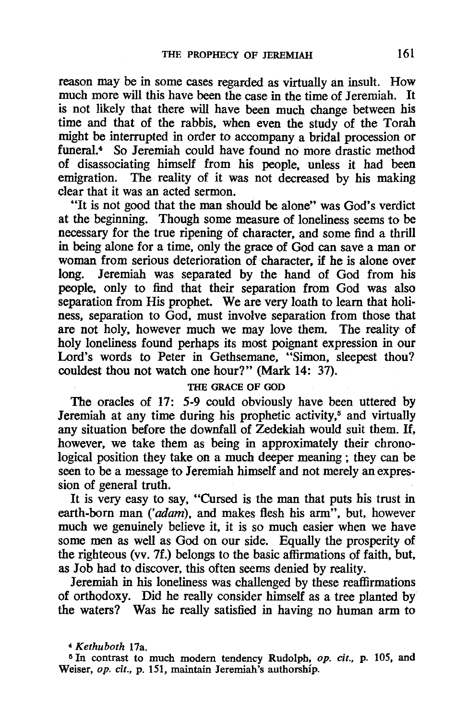reason may be in some cases regarded as virtually an insult. How much more will this have been the case in the time of Jeremiah. It is not likely that there will have been much change between his time and that of the rabbis, when even the study of the Torah might be interrupted in order to accompany a bridal procession or funeral.<sup>4</sup> So Jeremiah could have found no more drastic method of disassociating himself from his people, unless it had been emigration. The reality of it was not decreased by his making clear that it was an acted sermon.

"It is not good that the man should be alone" was God's verdict at the beginning. Though some measure of loneliness seems to be necessary for the true ripening of character, and some find a thrill in being alone for a time, only the grace of God can save a man or woman from serious deterioration of character, if he is alone over<br>long. Jeremiah was separated by the hand of God from his Jeremiah was separated by the hand of God from his people, only to find that their separation from God was also separation from His prophet. We are very loath to learn that holiness, separation to God, must involve separation from those that are not holy, however much we may love them. The reality of holy loneliness found perhaps its most poignant expression in our Lord's words to Peter in Gethsemane, "Simon, sleepest thou? couldest thou not watch one hour?" (Mark 14: 37).

#### THE GRACE OF GOD

The oracles of 17: 5-9 could obviously have been uttered by Jeremiah at any time during his prophetic activity,<sup>5</sup> and virtually any situation before the downfall of Zedekiah would suit them. H, however, we take them as being in approximately their chronological position they take on a much deeper meaning; they can be seen to be a message to Jeremiah himself and not merely an expression of general truth.

It is very easy to say, "Cursed is the man that puts his trust in earth-born man ('adam), and makes flesh his arm", but, however much we genuinely believe it, it is so much easier when we have some men as well as God on our side. Equally the prosperity of the righteous (vv. 7f.) belongs to the basic affirmations of faith, but, as Job had to discover, this often seems denied by reality.

Jeremiah in his loneliness was challenged by these reaffirmations of orthodoxy. Did he really consider himself as a tree planted by the waters? Was he really satisfied in having no human arm to

*<sup>4</sup> Kethuboth* 17a.

<sup>&</sup>lt;sup>5</sup> In contrast to much modern tendency Rudolph, *op. cit.*, p. 105, and Weiser, *op. cit.,* p. 151, maintain Jeremiah's authorship.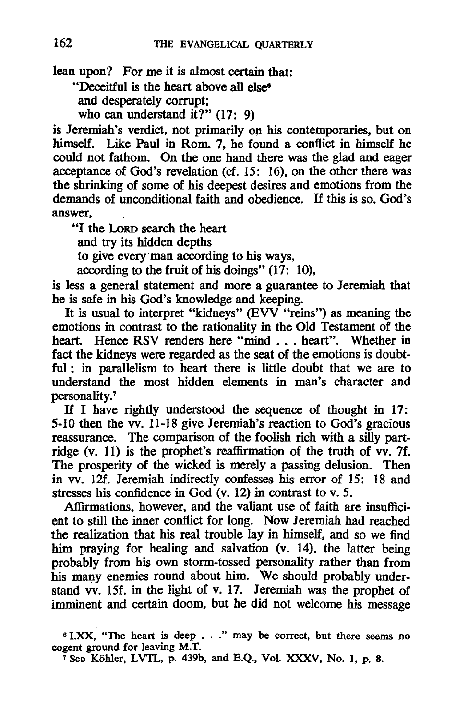lean upon? For me it is almost certain that:

"Deceitful is the heart above all else<sup>6</sup>

and desperately corrupt;

who can understand it?" (17: 9)

is Jeremiah's verdict, not primarily on his contemporaries, but on himself. Like Paul in Rom. 7, he found a conflict in himself he could not fathom. On the one hand there was the glad and eager acceptance of God's revelation (cf. 15: 16), on the other there was the shrinking of some of his deepest desires and emotions from the demands of unconditional faith and obedience. If this is so, God's answer,

"I the LoRD search the heart and try its hidden depths to give everyman according to his ways, according to the fruit of his doings" (17: 10),

is less a general statement and more a guarantee to Jeremiah that he is safe in his God's knowledge and keeping.

It is usual to interpret "kidneys" (EW "reins") as meaning the emotions in contrast to the rationality in the Old Testament of the heart. Hence RSV renders here "mind . . . heart". Whether in fact the kidneys were regarded as the seat of the emotions is doubtful; in parallelism to heart there is little doubt that we are to understand the most hidden elements in man's character and personality.<sup>7</sup>

If I have rightly understood the sequence of thought in 17: 5-10 then the vv. 11-18 give Jeremiah's reaction to God's gracious reassurance. The comparison of the foolish rich with a silly partridge (v. 11) is the prophet's reaffirmation of the truth of vv. 7f. The prosperity of the wicked is merely a passing delusion. Then in vv. 12f. Jeremiah indirectly confesses his error of 15: 18 and stresses his confidence in God (v. 12) in contrast to v. 5.

Affirmations, however, and the valiant use of faith are insufficient to still the inner conflict for long. Now Jeremiah had reached the realization that his real trouble lay in himself, and so we find him praying for healing and salvation (v. 14), the latter being probably from his own storm-tossed personality rather than from his many enemies round about him. We should probably understand vv. 15f. in the light of v. 17. Jeremiah was the prophet of imminent and certain doom, but he did not welcome his message

e LXX, "The heart is deep ... " may be correct, but there seems no cogent ground for leaving M.T.

<sup>7</sup> See Köhler, LVTL, p. 439b, and E.Q., Vol. XXXV, No. 1, p. 8.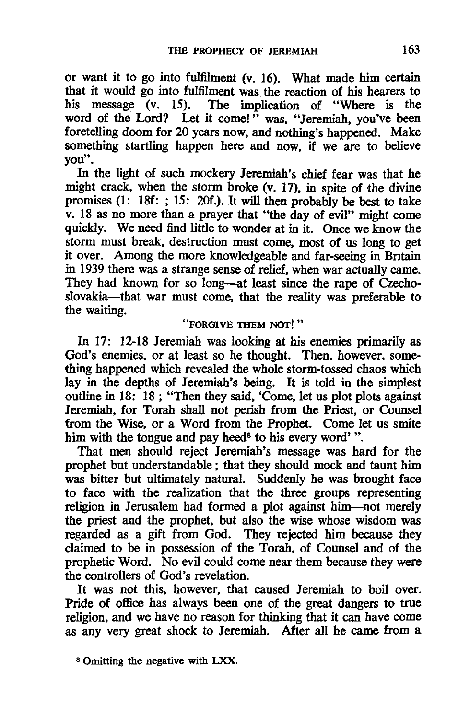or want it to go into fulfilment (v. 16). What made him certain that it would go into fulfilment was the reaction of his hearers to his message (v. 15). The implication of "Where is the word of the Lord? Let it come!" was. "Jeremiah. you've been foretelling doom for 20 years now. and nothing's happened. Make something startling happen here and now, if we are to believe you".

In the light of such mockery Jeremiah's chief fear was that he might crack. when the storm broke (v. 17). in spite of the divine promises (1: 18f: ; 15: 20f.). It will then probably be best to take v. 18 as no more than a prayer that "the day of evil" might come quickly. We need find little to wonder at in it. Once we know the storm must break. destruction must come. most of us long to get it over. Among the more knowledgeable and far-seeing in Britain in 1939 there was a strange sense of relief. when war actually came. They had known for so long-at least since the rape of Czechoslovakia-that war must come, that the reality was preferable to the waiting.

## "FORGIVE THEM NOT!"

In 17: 12-18 Jeremiah was looking at his enemies primarily as God's enemies. or at least so he thought. Then. however. something happened which revealed the whole storm-tossed chaos which lay in the depths of Jeremiah"s being. It is told in the simplest outline in 18: 18; "Then they said. 'Come. let us plot plots against Jeremiah. for Torah shall not perish from the Priest. or Counsel from the Wise. or a Word from the Prophet. Come let us smite him with the tongue and pay heed<sup>8</sup> to his every word'".

That men should reject Jeremiah's message was hard for the prophet but understandable; that they should mock and taunt him was bitter but ultimately natural. Suddenly he was brought face to face with the realization that the three groups representing religion in Jerusalem had formed a plot against him-not merely the priest and the prophet. but also the wise whose wisdom was regarded as a gift from God. They rejected him because they claimed to be in possession of the Torah. of Counsel and of the prophetic Word. No evil could come near them because they were the controllers of God's revelation.

It was not this. however. that caused Jeremiah to boil over. Pride of office has always been one of the great dangers to true religion. and we have no reason for thinking that it can have come as any very great shock to Jeremiah. After all he came from a

S Omitting the negative with LXX.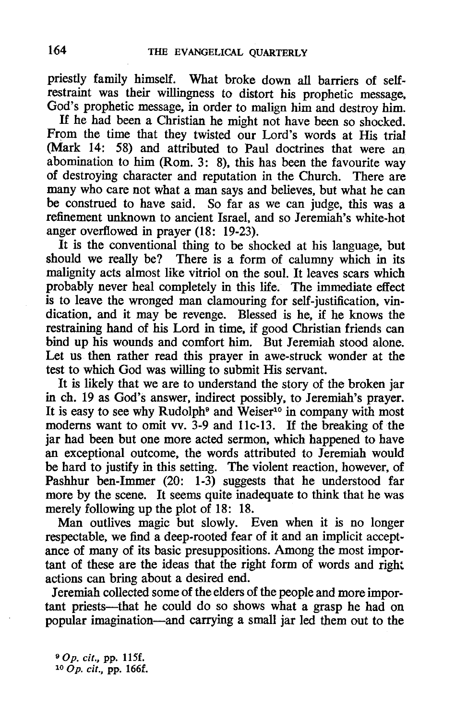priestly family himself. What broke down all barriers of selfrestraint was their willingness to distort his prophetic message. God's prophetic message. in order to malign him and destroy him.

H he had been a Christian he might not have been so shocked. From the time that they twisted our Lord's words at His trial (Mark 14: 58) and attributed to Paul doctrines that were an abomination to him (Rom. 3: 8). this has been the favourite way of destroying character and reputation in the Church. There are many who care not what a man says and believes. but what he can be construed to have said. So far as we can judge. this was a refinement unknown to ancient Israel. and so Jeremiah's white-hot anger overflowed in prayer (18: 19-23).

It is the conventional thing to be shocked at his language. but should we really be? There is a form of calumny which in its malignity acts almost like vitriol on the soul. It leaves scars which probably never heal completely in this life. The immediate effect is to leave the wronged man clamouring for self-justification, vindication. and it may be revenge. Blessed is he, if he knows the restraining hand of his Lord in time, if good Christian friends can bind up his wounds and comfort him. But Jeremiah stood alone. Let us then rather read this prayer in awe-struck wonder at the test to which God was willing to submit His servant.

It is likely that we are to understand the story of the broken jar in ch. 19 as. God's answer, indirect possibly, to Jeremiah's prayer. It is easy to see why Rudolph<sup>9</sup> and Weiser<sup>10</sup> in company with most modems want to omit vv. 3-9 and Hc-13. *H* the breaking of the iar had been but one more acted sermon, which happened to have an exceptional outcome, the words attributed to Jeremiah would be hard to justify in this setting. The violent reaction, however, of Pashhur ben-Immer (20: 1-3) suggests that he understood far more by the scene. It seems quite inadequate to think that he was merely following up the plot of 18: 18.

Man outlives magic but slowly. Even when it is no longer respectable, we find a deep-rooted fear of it and an implicit acceptance of many of its basic presuppositions. Among the most important of these are the ideas that the right form of words and right actions can bring about a desired end.

Jeremiah collected some of the elders of the people and more important priests-that he could do so shows what a grasp he had on popular imagination-and carrying a small jar led them out to the

*90*p. cif., pp. 115f. *lOOp.* cif., pp. 166f.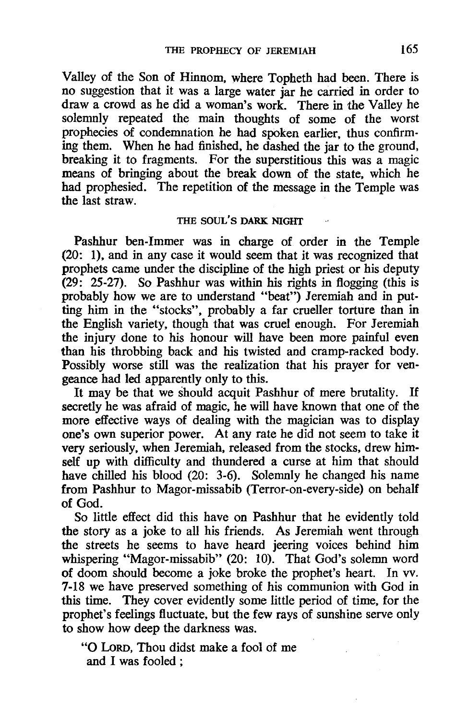Valley of the Son of Hinnom, where Topheth had been. There is no suggestion that it was a large water jar he carried in order to draw a crowd as he did a woman's work. There in the Valley he solemnly repeated the main thoughts of some of the worst prophecies of condemnation he had spoken earlier, thus confirming them. When he had finished, he dashed the jar to the ground, breaking it to fragments. For the superstitious this was a magic means of bringing about the break down of the state, which he had prophesied. The repetition of the message in the Temple was the last straw.

#### THE SOUL'S DARK NIGHT

Pashhur ben-Immer was in charge of order in the Temple (20: I), and in any case it would seem that it was recognized that prophets came under the discipline of the high priest or his deputy (29: 25-27). So Pashhur was within his rights in flogging (this is probably how we are to understand "beat") Jeremiah and in putting him in the "stocks", probably a far crueller torture than in the English variety, though that was cruel enough. For Jeremiah the injury done to his honour will have been more painful even than his throbbing back and his twisted and cramp-racked body. Possibly worse still was the realization that his prayer for vengeance had led apparently only to this.

It may be that we should acquit Pashhur of mere brutality. If secretly he was afraid of magic, he will have known that one of the more effective ways of dealing with the magician was to display one's own superior power. At any rate he did not seem to take it very seriously, when Jeremiah, released from the stocks, drew himself up with difficulty and thundered a curse at him that should have chilled his blood (20: 3-6). Solemnly he changed his name from Pashhur to Magor-missabib (Terror-on-every-side) on behalf of God.

So little effect did this have on Pashhur that he evidently told the story as a joke to all his friends. As Jeremiah went through the streets he seems to have heard jeering voices behind him whispering "Magor-missabib" (20: 10). That God's solemn word of doom should become a joke broke the prophet's heart. In vv. 7-18 we have preserved something of his communion with God in this time. They cover evidently some little period of time, for the prophet's feelings fluctuate, but the few rays of sunshine serve only to show how deep the darkness was.

"0 LoRD, Thou didst make a fool of me and I was fooled: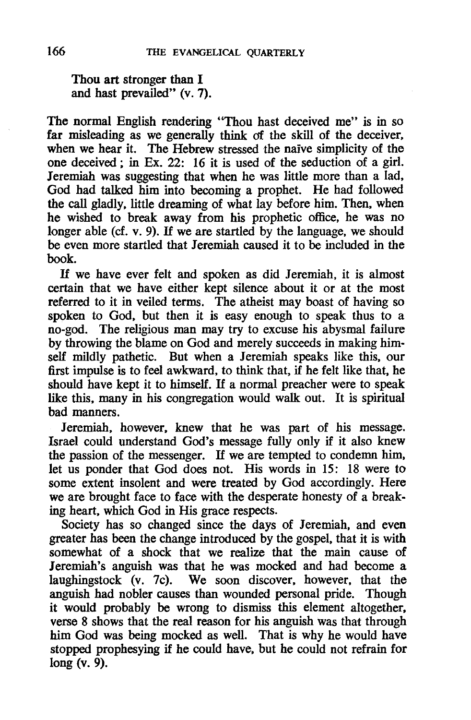Thou art stronger than I and hast prevailed" (v. 7).

The normal English rendering "Thou hast deceived me" is in so far misleading as we generally think of the skill of the deceiver. when we hear it. The Hebrew stressed the naive simplicity of the one deceived; in Ex. 22: 16 it is used of the seduction of a girl. Jeremiah was suggesting that when he was little more than a lad. God had talked him into becoming a prophet. He had followed the call gladly. little dreaming of what lay before him. Then. when he wished to break away from his prophetic office. he was no longer able (cf. v. 9). If we are startled by the language, we should be even more startled that Jeremiah caused it to be included in the book.

H we have ever felt and spoken as did Jeremiah. it is almost certain that we have either kept silence about it or at the most referred to it in veiled terms. The atheist may boast of having so spoken to God. but then it is easy enough to speak thus to a no-god. The religious man may try to excuse his abysmal failure by throwing the blame on God and merely succeeds in making himself mildly pathetic. But when a Jeremiah speaks like this. our first impulse is to feel awkward. to think that, if he felt like that. he should have kept it to himself. *H* a normal preacher were to speak like this. many in his congregation would walk out. It is spiritual bad manners.

Jeremiah. however. knew that he was part of his message. Israel could understand God's message fully only if it also knew the passion of the messenger. *H* we are tempted to condemn him, let us ponder that God does not. His words in 15: 18 were to some extent insolent and were treated by God accordingly. Here we are brought face to face with the desperate honesty of a breaking heart. which God in His grace respects.

Society has so changed since the days of Jeremiah, and even greater has been the change introduced by the gospel. that it is with somewhat of a shock that we realize that the main cause of Jeremiah's anguish was that he was mocked and had become a laughingstock (v. 7c). We soon discover. however. that the anguish had nobler causes than wounded personal pride. Though it would probably be wrong to dismiss this element altogether. verse 8 shows that the real reason for his anguish was that through him God was being mocked as well. That is why he would have stopped prophesying if he could have. but he could not refrain for long (v. 9).